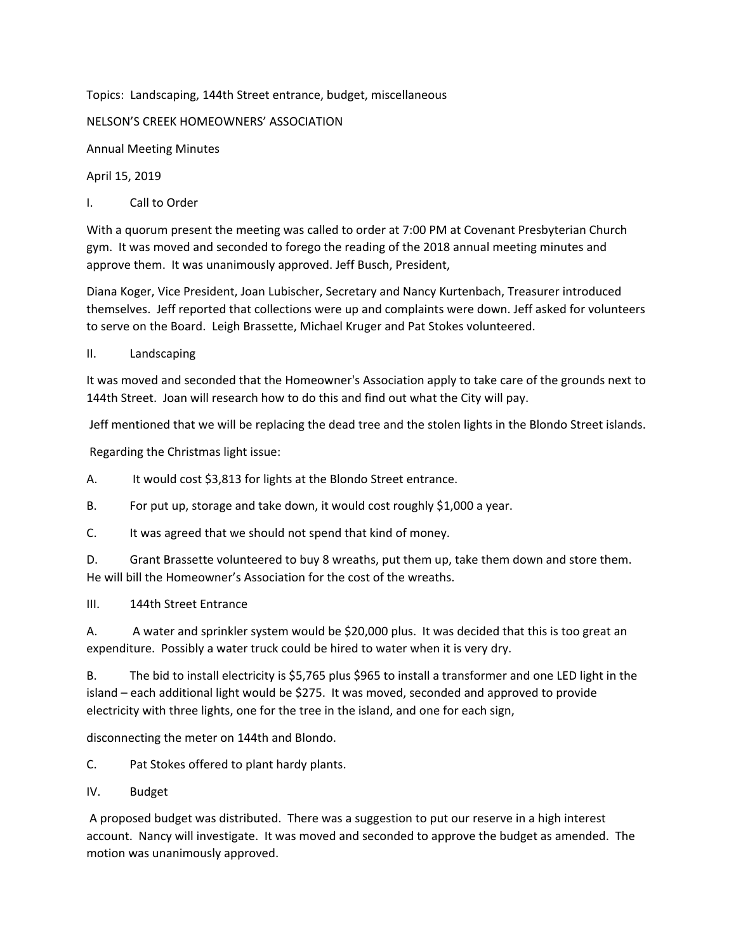Topics: Landscaping, 144th Street entrance, budget, miscellaneous

NELSON'S CREEK HOMEOWNERS' ASSOCIATION

Annual Meeting Minutes

April 15, 2019

I. Call to Order

With a quorum present the meeting was called to order at 7:00 PM at Covenant Presbyterian Church gym. It was moved and seconded to forego the reading of the 2018 annual meeting minutes and approve them. It was unanimously approved. Jeff Busch, President,

Diana Koger, Vice President, Joan Lubischer, Secretary and Nancy Kurtenbach, Treasurer introduced themselves. Jeff reported that collections were up and complaints were down. Jeff asked for volunteers to serve on the Board. Leigh Brassette, Michael Kruger and Pat Stokes volunteered.

II. Landscaping

It was moved and seconded that the Homeowner's Association apply to take care of the grounds next to 144th Street. Joan will research how to do this and find out what the City will pay.

Jeff mentioned that we will be replacing the dead tree and the stolen lights in the Blondo Street islands.

Regarding the Christmas light issue:

A. It would cost \$3,813 for lights at the Blondo Street entrance.

B. For put up, storage and take down, it would cost roughly \$1,000 a year.

C. It was agreed that we should not spend that kind of money.

D. Grant Brassette volunteered to buy 8 wreaths, put them up, take them down and store them. He will bill the Homeowner's Association for the cost of the wreaths.

III. 144th Street Entrance

A. A water and sprinkler system would be \$20,000 plus. It was decided that this is too great an expenditure. Possibly a water truck could be hired to water when it is very dry.

B. The bid to install electricity is \$5,765 plus \$965 to install a transformer and one LED light in the island – each additional light would be \$275. It was moved, seconded and approved to provide electricity with three lights, one for the tree in the island, and one for each sign,

disconnecting the meter on 144th and Blondo.

C. Pat Stokes offered to plant hardy plants.

IV. Budget

A proposed budget was distributed. There was a suggestion to put our reserve in a high interest account. Nancy will investigate. It was moved and seconded to approve the budget as amended. The motion was unanimously approved.